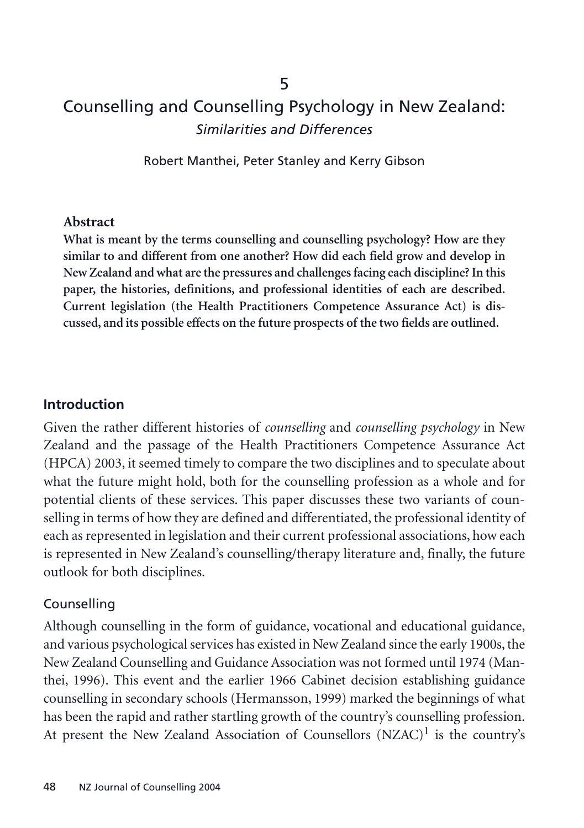# Counselling and Counselling Psychology in New Zealand: *Similarities and Differences*

Robert Manthei, Peter Stanley and Kerry Gibson

#### **Abstract**

**What is meant by the terms counselling and counselling psychology? How are they similar to and different from one another? How did each field grow and develop in New Zealand and what are the pressures and challenges facing each discipline? In this paper, the histories, definitions, and professional identities of each are described. Current legislation (the Health Practitioners Competence Assurance Act) is discussed, and its possible effects on the future prospects of the two fields are outlined.**

#### **Introduction**

Given the rather different histories of *counselling* and *counselling psychology* in New Zealand and the passage of the Health Practitioners Competence Assurance Act (HPCA) 2003, it seemed timely to compare the two disciplines and to speculate about what the future might hold, both for the counselling profession as a whole and for potential clients of these services. This paper discusses these two variants of counselling in terms of how they are defined and differentiated, the professional identity of each as represented in legislation and their current professional associations, how each is represented in New Zealand's counselling/therapy literature and, finally, the future outlook for both disciplines.

#### Counselling

Although counselling in the form of guidance, vocational and educational guidance, and various psychological services has existed in New Zealand since the early 1900s, the New Zealand Counselling and Guidance Association was not formed until 1974 (Manthei, 1996). This event and the earlier 1966 Cabinet decision establishing guidance counselling in secondary schools (Hermansson, 1999) marked the beginnings of what has been the rapid and rather startling growth of the country's counselling profession. At present the New Zealand Association of Counsellors  $(NZAC)^{1}$  is the country's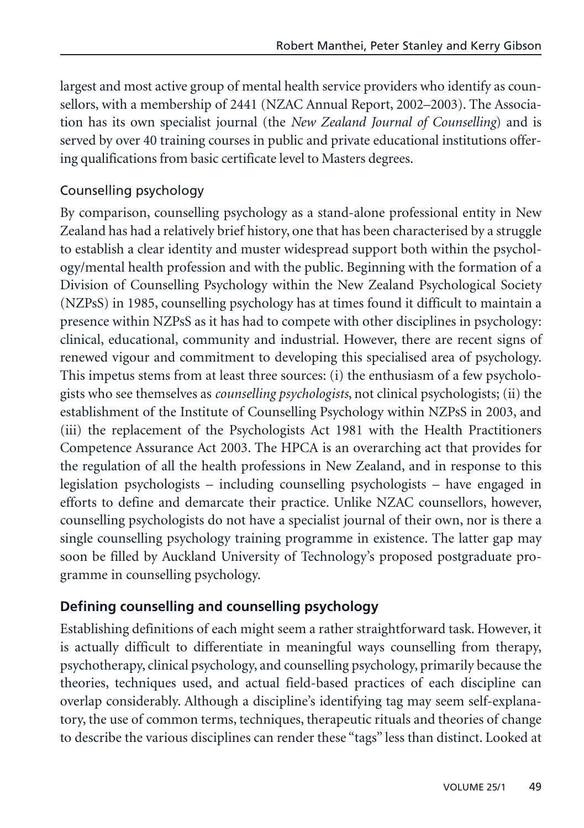largest and most active group of mental health service providers who identify as counsellors, with a membership of 2441 (NZAC Annual Report, 2002–2003). The Association has its own specialist journal (the *New Zealand Journal of Counselling*) and is served by over 40 training courses in public and private educational institutions offering qualifications from basic certificate level to Masters degrees.

## Counselling psychology

By comparison, counselling psychology as a stand-alone professional entity in New Zealand has had a relatively brief history, one that has been characterised by a struggle to establish a clear identity and muster widespread support both within the psychology/mental health profession and with the public. Beginning with the formation of a Division of Counselling Psychology within the New Zealand Psychological Society (NZPsS) in 1985, counselling psychology has at times found it difficult to maintain a presence within NZPsS as it has had to compete with other disciplines in psychology: clinical, educational, community and industrial. However, there are recent signs of renewed vigour and commitment to developing this specialised area of psychology. This impetus stems from at least three sources: (i) the enthusiasm of a few psychologists who see themselves as *counselling psychologists*, not clinical psychologists; (ii) the establishment of the Institute of Counselling Psychology within NZPsS in 2003, and (iii) the replacement of the Psychologists Act 1981 with the Health Practitioners Competence Assurance Act 2003. The HPCA is an overarching act that provides for the regulation of all the health professions in New Zealand, and in response to this legislation psychologists – including counselling psychologists – have engaged in efforts to define and demarcate their practice. Unlike NZAC counsellors, however, counselling psychologists do not have a specialist journal of their own, nor is there a single counselling psychology training programme in existence. The latter gap may soon be filled by Auckland University of Technology's proposed postgraduate programme in counselling psychology.

# **Defining counselling and counselling psychology**

Establishing definitions of each might seem a rather straightforward task. However, it is actually difficult to differentiate in meaningful ways counselling from therapy, psychotherapy, clinical psychology, and counselling psychology, primarily because the theories, techniques used, and actual field-based practices of each discipline can overlap considerably. Although a discipline's identifying tag may seem self-explanatory, the use of common terms, techniques, therapeutic rituals and theories of change to describe the various disciplines can render these "tags" less than distinct. Looked at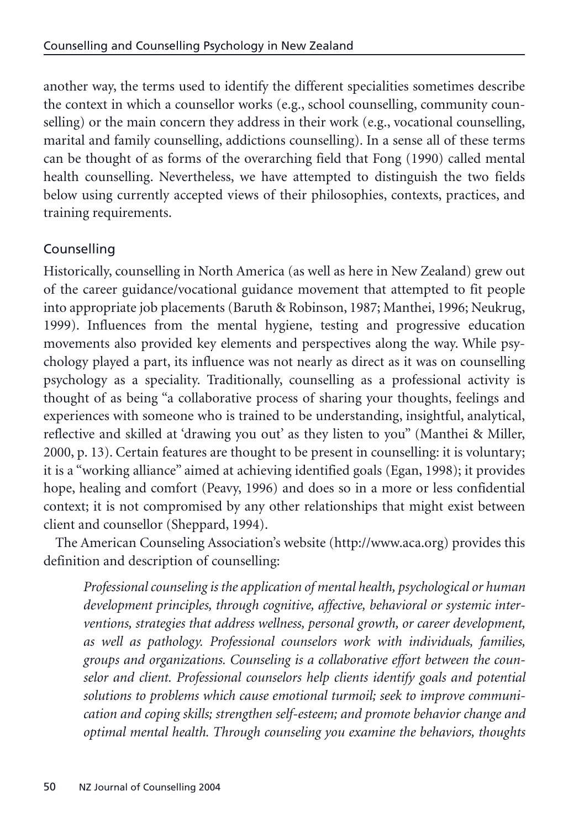another way, the terms used to identify the different specialities sometimes describe the context in which a counsellor works (e.g., school counselling, community counselling) or the main concern they address in their work (e.g., vocational counselling, marital and family counselling, addictions counselling). In a sense all of these terms can be thought of as forms of the overarching field that Fong (1990) called mental health counselling. Nevertheless, we have attempted to distinguish the two fields below using currently accepted views of their philosophies, contexts, practices, and training requirements.

# Counselling

Historically, counselling in North America (as well as here in New Zealand) grew out of the career guidance/vocational guidance movement that attempted to fit people into appropriate job placements (Baruth & Robinson, 1987; Manthei, 1996; Neukrug, 1999). Influences from the mental hygiene, testing and progressive education movements also provided key elements and perspectives along the way. While psychology played a part, its influence was not nearly as direct as it was on counselling psychology as a speciality. Traditionally, counselling as a professional activity is thought of as being "a collaborative process of sharing your thoughts, feelings and experiences with someone who is trained to be understanding, insightful, analytical, reflective and skilled at 'drawing you out' as they listen to you" (Manthei & Miller, 2000, p. 13). Certain features are thought to be present in counselling: it is voluntary; it is a "working alliance" aimed at achieving identified goals (Egan, 1998); it provides hope, healing and comfort (Peavy, 1996) and does so in a more or less confidential context; it is not compromised by any other relationships that might exist between client and counsellor (Sheppard, 1994).

The American Counseling Association's website (http://www.aca.org) provides this definition and description of counselling:

*Professional counseling is the application of mental health, psychological or human development principles, through cognitive, affective, behavioral or systemic interventions, strategies that address wellness, personal growth, or career development, as well as pathology. Professional counselors work with individuals, families, groups and organizations. Counseling is a collaborative effort between the counselor and client. Professional counselors help clients identify goals and potential solutions to problems which cause emotional turmoil; seek to improve communication and coping skills; strengthen self-esteem; and promote behavior change and optimal mental health. Through counseling you examine the behaviors, thoughts*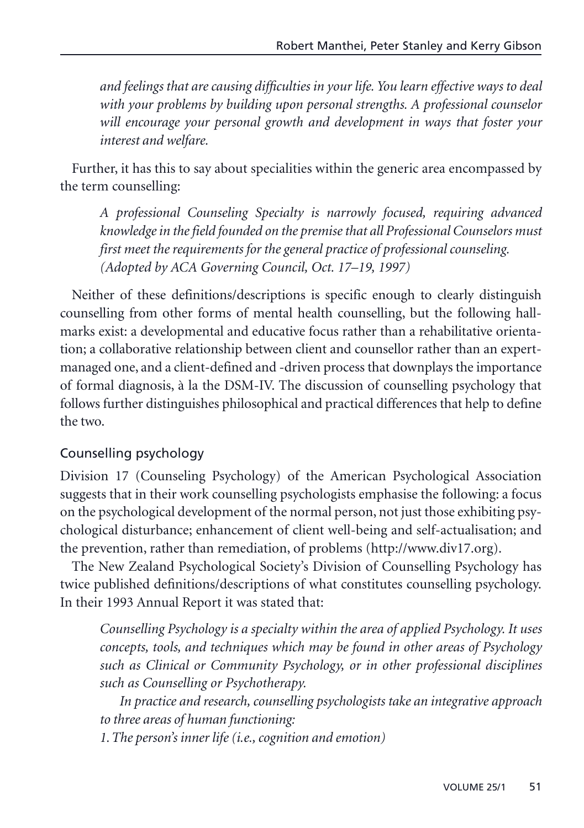*and feelings that are causing difficulties in your life. You learn effective ways to deal with your problems by building upon personal strengths. A professional counselor will encourage your personal growth and development in ways that foster your interest and welfare.*

Further, it has this to say about specialities within the generic area encompassed by the term counselling:

*A professional Counseling Specialty is narrowly focused, requiring advanced knowledge in the field founded on the premise that all Professional Counselors must first meet the requirements for the general practice of professional counseling. (Adopted by ACA Governing Council, Oct. 17–19, 1997)*

Neither of these definitions/descriptions is specific enough to clearly distinguish counselling from other forms of mental health counselling, but the following hallmarks exist: a developmental and educative focus rather than a rehabilitative orientation; a collaborative relationship between client and counsellor rather than an expertmanaged one, and a client-defined and -driven process that downplays the importance of formal diagnosis, à la the DSM-IV. The discussion of counselling psychology that follows further distinguishes philosophical and practical differences that help to define the two.

## Counselling psychology

Division 17 (Counseling Psychology) of the American Psychological Association suggests that in their work counselling psychologists emphasise the following: a focus on the psychological development of the normal person, not just those exhibiting psychological disturbance; enhancement of client well-being and self-actualisation; and the prevention, rather than remediation, of problems (http://www.div17.org).

The New Zealand Psychological Society's Division of Counselling Psychology has twice published definitions/descriptions of what constitutes counselling psychology. In their 1993 Annual Report it was stated that:

*Counselling Psychology is a specialty within the area of applied Psychology. It uses concepts, tools, and techniques which may be found in other areas of Psychology such as Clinical or Community Psychology, or in other professional disciplines such as Counselling or Psychotherapy.*

*In practice and research, counselling psychologists take an integrative approach to three areas of human functioning:* 

*1.The person's inner life (i.e., cognition and emotion)*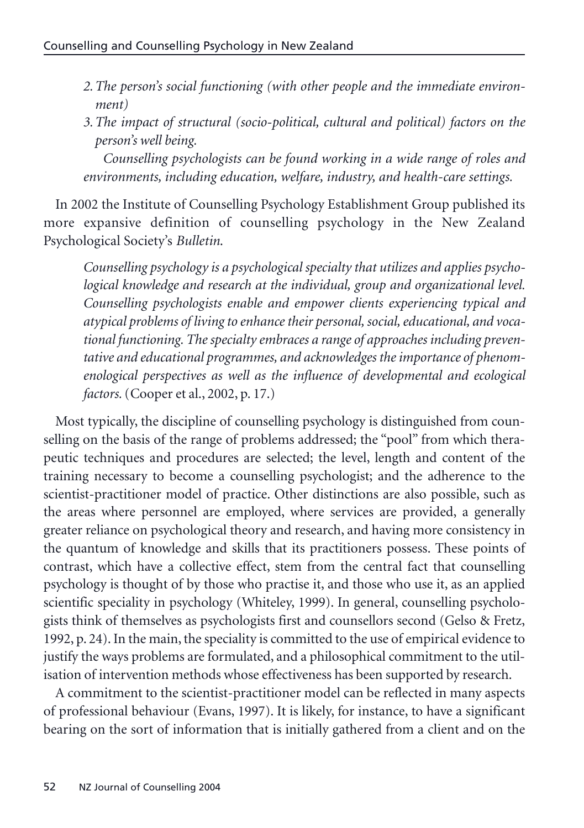- *2.The person's social functioning (with other people and the immediate environment)*
- *3.The impact of structural (socio-political, cultural and political) factors on the person's well being.*

*Counselling psychologists can be found working in a wide range of roles and environments, including education, welfare, industry, and health-care settings.*

In 2002 the Institute of Counselling Psychology Establishment Group published its more expansive definition of counselling psychology in the New Zealand Psychological Society's *Bulletin*.

*Counselling psychology is a psychological specialty that utilizes and applies psychological knowledge and research at the individual, group and organizational level. Counselling psychologists enable and empower clients experiencing typical and atypical problems of living to enhance their personal, social, educational, and vocational functioning. The specialty embraces a range of approaches including preventative and educational programmes, and acknowledges the importance of phenomenological perspectives as well as the influence of developmental and ecological factors.*(Cooper et al., 2002, p. 17.)

Most typically, the discipline of counselling psychology is distinguished from counselling on the basis of the range of problems addressed; the "pool" from which therapeutic techniques and procedures are selected; the level, length and content of the training necessary to become a counselling psychologist; and the adherence to the scientist-practitioner model of practice. Other distinctions are also possible, such as the areas where personnel are employed, where services are provided, a generally greater reliance on psychological theory and research, and having more consistency in the quantum of knowledge and skills that its practitioners possess. These points of contrast, which have a collective effect, stem from the central fact that counselling psychology is thought of by those who practise it, and those who use it, as an applied scientific speciality in psychology (Whiteley, 1999). In general, counselling psychologists think of themselves as psychologists first and counsellors second (Gelso & Fretz, 1992, p. 24). In the main, the speciality is committed to the use of empirical evidence to justify the ways problems are formulated, and a philosophical commitment to the utilisation of intervention methods whose effectiveness has been supported by research.

A commitment to the scientist-practitioner model can be reflected in many aspects of professional behaviour (Evans, 1997). It is likely, for instance, to have a significant bearing on the sort of information that is initially gathered from a client and on the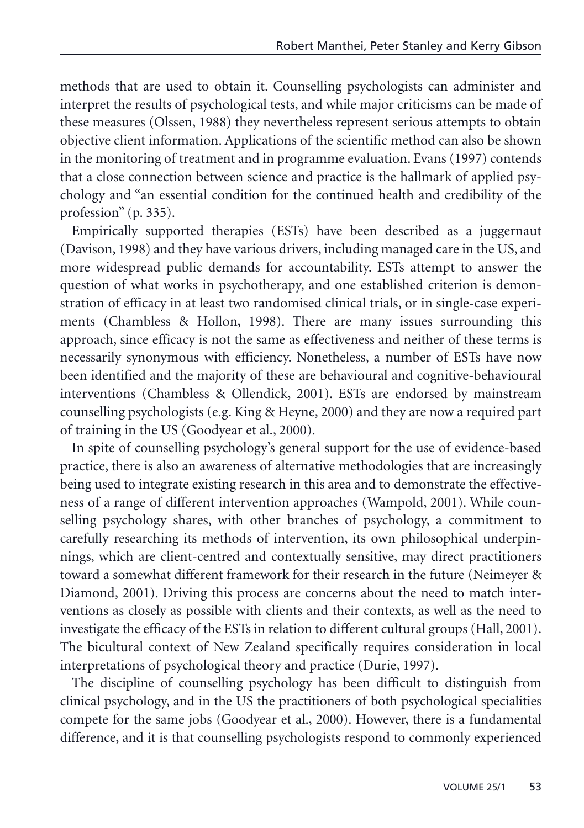methods that are used to obtain it. Counselling psychologists can administer and interpret the results of psychological tests, and while major criticisms can be made of these measures (Olssen, 1988) they nevertheless represent serious attempts to obtain objective client information. Applications of the scientific method can also be shown in the monitoring of treatment and in programme evaluation. Evans (1997) contends that a close connection between science and practice is the hallmark of applied psychology and "an essential condition for the continued health and credibility of the profession" (p. 335).

Empirically supported therapies (ESTs) have been described as a juggernaut (Davison, 1998) and they have various drivers, including managed care in the US, and more widespread public demands for accountability. ESTs attempt to answer the question of what works in psychotherapy, and one established criterion is demonstration of efficacy in at least two randomised clinical trials, or in single-case experiments (Chambless & Hollon, 1998). There are many issues surrounding this approach, since efficacy is not the same as effectiveness and neither of these terms is necessarily synonymous with efficiency. Nonetheless, a number of ESTs have now been identified and the majority of these are behavioural and cognitive-behavioural interventions (Chambless & Ollendick, 2001). ESTs are endorsed by mainstream counselling psychologists (e.g. King & Heyne, 2000) and they are now a required part of training in the US (Goodyear et al., 2000).

In spite of counselling psychology's general support for the use of evidence-based practice, there is also an awareness of alternative methodologies that are increasingly being used to integrate existing research in this area and to demonstrate the effectiveness of a range of different intervention approaches (Wampold, 2001). While counselling psychology shares, with other branches of psychology, a commitment to carefully researching its methods of intervention, its own philosophical underpinnings, which are client-centred and contextually sensitive, may direct practitioners toward a somewhat different framework for their research in the future (Neimeyer & Diamond, 2001). Driving this process are concerns about the need to match interventions as closely as possible with clients and their contexts, as well as the need to investigate the efficacy of the ESTs in relation to different cultural groups (Hall, 2001). The bicultural context of New Zealand specifically requires consideration in local interpretations of psychological theory and practice (Durie, 1997).

The discipline of counselling psychology has been difficult to distinguish from clinical psychology, and in the US the practitioners of both psychological specialities compete for the same jobs (Goodyear et al., 2000). However, there is a fundamental difference, and it is that counselling psychologists respond to commonly experienced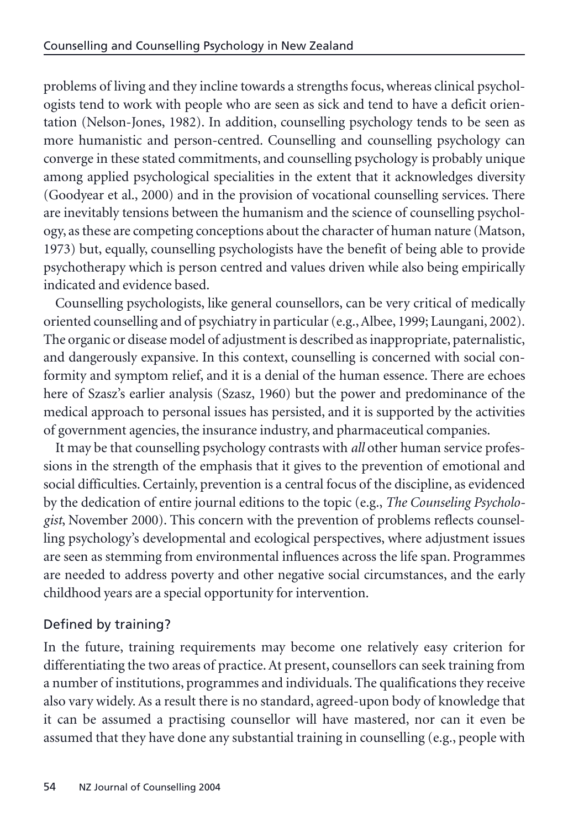problems of living and they incline towards a strengths focus, whereas clinical psychologists tend to work with people who are seen as sick and tend to have a deficit orientation (Nelson-Jones, 1982). In addition, counselling psychology tends to be seen as more humanistic and person-centred. Counselling and counselling psychology can converge in these stated commitments, and counselling psychology is probably unique among applied psychological specialities in the extent that it acknowledges diversity (Goodyear et al., 2000) and in the provision of vocational counselling services. There are inevitably tensions between the humanism and the science of counselling psychology, as these are competing conceptions about the character of human nature (Matson, 1973) but, equally, counselling psychologists have the benefit of being able to provide psychotherapy which is person centred and values driven while also being empirically indicated and evidence based.

Counselling psychologists, like general counsellors, can be very critical of medically oriented counselling and of psychiatry in particular (e.g., Albee, 1999; Laungani, 2002). The organic or disease model of adjustment is described as inappropriate, paternalistic, and dangerously expansive. In this context, counselling is concerned with social conformity and symptom relief, and it is a denial of the human essence. There are echoes here of Szasz's earlier analysis (Szasz, 1960) but the power and predominance of the medical approach to personal issues has persisted, and it is supported by the activities of government agencies, the insurance industry, and pharmaceutical companies.

It may be that counselling psychology contrasts with *all* other human service professions in the strength of the emphasis that it gives to the prevention of emotional and social difficulties. Certainly, prevention is a central focus of the discipline, as evidenced by the dedication of entire journal editions to the topic (e.g., *The Counseling Psychologist*, November 2000). This concern with the prevention of problems reflects counselling psychology's developmental and ecological perspectives, where adjustment issues are seen as stemming from environmental influences across the life span. Programmes are needed to address poverty and other negative social circumstances, and the early childhood years are a special opportunity for intervention.

# Defined by training?

In the future, training requirements may become one relatively easy criterion for differentiating the two areas of practice. At present, counsellors can seek training from a number of institutions, programmes and individuals. The qualifications they receive also vary widely. As a result there is no standard, agreed-upon body of knowledge that it can be assumed a practising counsellor will have mastered, nor can it even be assumed that they have done any substantial training in counselling (e.g., people with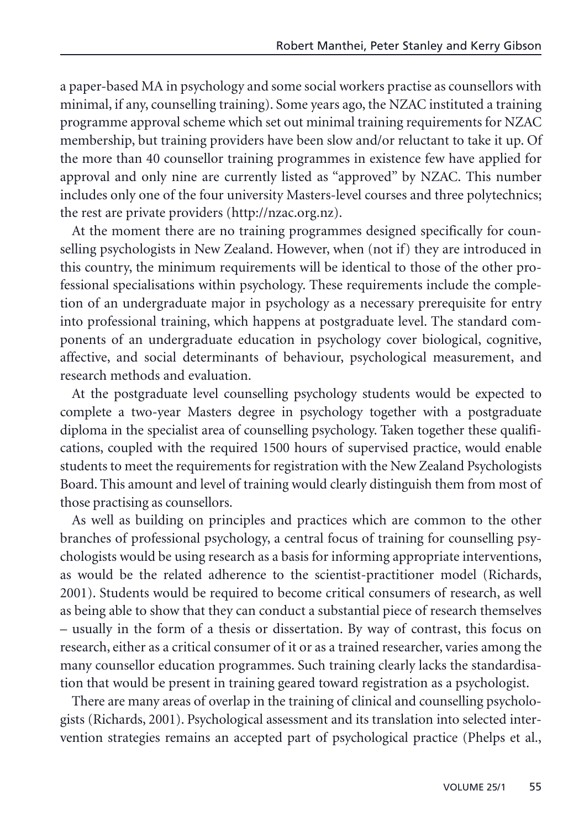a paper-based MA in psychology and some social workers practise as counsellors with minimal, if any, counselling training). Some years ago, the NZAC instituted a training programme approval scheme which set out minimal training requirements for NZAC membership, but training providers have been slow and/or reluctant to take it up. Of the more than 40 counsellor training programmes in existence few have applied for approval and only nine are currently listed as "approved" by NZAC. This number includes only one of the four university Masters-level courses and three polytechnics; the rest are private providers (http://nzac.org.nz).

At the moment there are no training programmes designed specifically for counselling psychologists in New Zealand. However, when (not if) they are introduced in this country, the minimum requirements will be identical to those of the other professional specialisations within psychology. These requirements include the completion of an undergraduate major in psychology as a necessary prerequisite for entry into professional training, which happens at postgraduate level. The standard components of an undergraduate education in psychology cover biological, cognitive, affective, and social determinants of behaviour, psychological measurement, and research methods and evaluation.

At the postgraduate level counselling psychology students would be expected to complete a two-year Masters degree in psychology together with a postgraduate diploma in the specialist area of counselling psychology. Taken together these qualifications, coupled with the required 1500 hours of supervised practice, would enable students to meet the requirements for registration with the New Zealand Psychologists Board. This amount and level of training would clearly distinguish them from most of those practising as counsellors.

As well as building on principles and practices which are common to the other branches of professional psychology, a central focus of training for counselling psychologists would be using research as a basis for informing appropriate interventions, as would be the related adherence to the scientist-practitioner model (Richards, 2001). Students would be required to become critical consumers of research, as well as being able to show that they can conduct a substantial piece of research themselves – usually in the form of a thesis or dissertation. By way of contrast, this focus on research, either as a critical consumer of it or as a trained researcher, varies among the many counsellor education programmes. Such training clearly lacks the standardisation that would be present in training geared toward registration as a psychologist.

There are many areas of overlap in the training of clinical and counselling psychologists (Richards, 2001). Psychological assessment and its translation into selected intervention strategies remains an accepted part of psychological practice (Phelps et al.,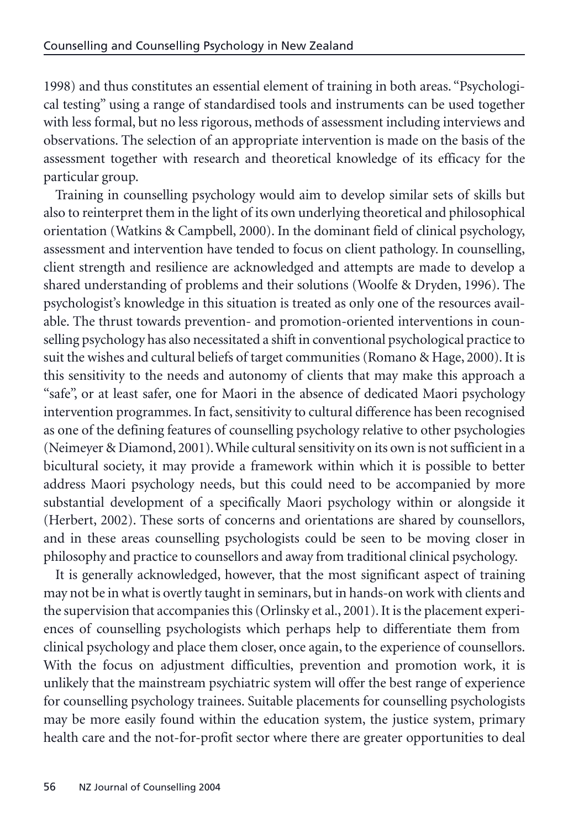1998) and thus constitutes an essential element of training in both areas. "Psychological testing" using a range of standardised tools and instruments can be used together with less formal, but no less rigorous, methods of assessment including interviews and observations. The selection of an appropriate intervention is made on the basis of the assessment together with research and theoretical knowledge of its efficacy for the particular group.

Training in counselling psychology would aim to develop similar sets of skills but also to reinterpret them in the light of its own underlying theoretical and philosophical orientation (Watkins & Campbell, 2000). In the dominant field of clinical psychology, assessment and intervention have tended to focus on client pathology. In counselling, client strength and resilience are acknowledged and attempts are made to develop a shared understanding of problems and their solutions (Woolfe & Dryden, 1996). The psychologist's knowledge in this situation is treated as only one of the resources available. The thrust towards prevention- and promotion-oriented interventions in counselling psychology has also necessitated a shift in conventional psychological practice to suit the wishes and cultural beliefs of target communities (Romano & Hage, 2000). It is this sensitivity to the needs and autonomy of clients that may make this approach a "safe", or at least safer, one for Maori in the absence of dedicated Maori psychology intervention programmes. In fact, sensitivity to cultural difference has been recognised as one of the defining features of counselling psychology relative to other psychologies (Neimeyer & Diamond, 2001). While cultural sensitivity on its own is not sufficient in a bicultural society, it may provide a framework within which it is possible to better address Maori psychology needs, but this could need to be accompanied by more substantial development of a specifically Maori psychology within or alongside it (Herbert, 2002). These sorts of concerns and orientations are shared by counsellors, and in these areas counselling psychologists could be seen to be moving closer in philosophy and practice to counsellors and away from traditional clinical psychology.

It is generally acknowledged, however, that the most significant aspect of training may not be in what is overtly taught in seminars, but in hands-on work with clients and the supervision that accompanies this (Orlinsky et al., 2001). It is the placement experiences of counselling psychologists which perhaps help to differentiate them from clinical psychology and place them closer, once again, to the experience of counsellors. With the focus on adjustment difficulties, prevention and promotion work, it is unlikely that the mainstream psychiatric system will offer the best range of experience for counselling psychology trainees. Suitable placements for counselling psychologists may be more easily found within the education system, the justice system, primary health care and the not-for-profit sector where there are greater opportunities to deal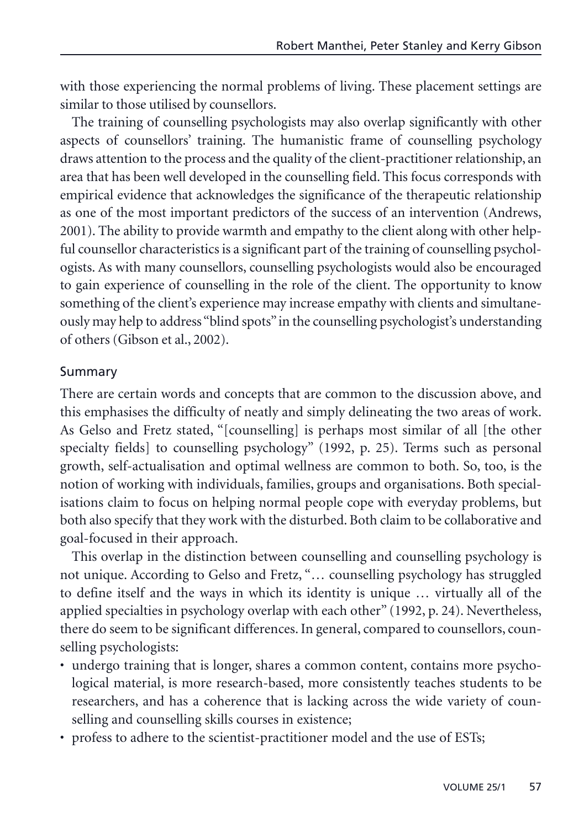with those experiencing the normal problems of living. These placement settings are similar to those utilised by counsellors.

The training of counselling psychologists may also overlap significantly with other aspects of counsellors' training. The humanistic frame of counselling psychology draws attention to the process and the quality of the client-practitioner relationship, an area that has been well developed in the counselling field. This focus corresponds with empirical evidence that acknowledges the significance of the therapeutic relationship as one of the most important predictors of the success of an intervention (Andrews, 2001). The ability to provide warmth and empathy to the client along with other helpful counsellor characteristics is a significant part of the training of counselling psychologists. As with many counsellors, counselling psychologists would also be encouraged to gain experience of counselling in the role of the client. The opportunity to know something of the client's experience may increase empathy with clients and simultaneously may help to address "blind spots"in the counselling psychologist's understanding of others (Gibson et al., 2002).

#### Summary

There are certain words and concepts that are common to the discussion above, and this emphasises the difficulty of neatly and simply delineating the two areas of work. As Gelso and Fretz stated, "[counselling] is perhaps most similar of all [the other specialty fields] to counselling psychology" (1992, p. 25). Terms such as personal growth, self-actualisation and optimal wellness are common to both. So, too, is the notion of working with individuals, families, groups and organisations. Both specialisations claim to focus on helping normal people cope with everyday problems, but both also specify that they work with the disturbed. Both claim to be collaborative and goal-focused in their approach.

This overlap in the distinction between counselling and counselling psychology is not unique. According to Gelso and Fretz, "… counselling psychology has struggled to define itself and the ways in which its identity is unique … virtually all of the applied specialties in psychology overlap with each other" (1992, p. 24). Nevertheless, there do seem to be significant differences. In general, compared to counsellors, counselling psychologists:

- undergo training that is longer, shares a common content, contains more psychological material, is more research-based, more consistently teaches students to be researchers, and has a coherence that is lacking across the wide variety of counselling and counselling skills courses in existence;
- profess to adhere to the scientist-practitioner model and the use of ESTs;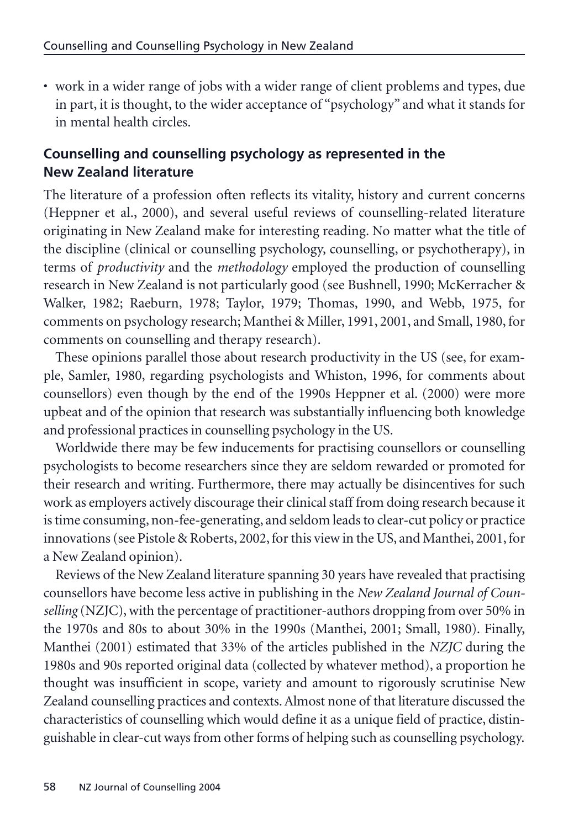• work in a wider range of jobs with a wider range of client problems and types, due in part, it is thought, to the wider acceptance of "psychology" and what it stands for in mental health circles.

# **Counselling and counselling psychology as represented in the New Zealand literature**

The literature of a profession often reflects its vitality, history and current concerns (Heppner et al., 2000), and several useful reviews of counselling-related literature originating in New Zealand make for interesting reading. No matter what the title of the discipline (clinical or counselling psychology, counselling, or psychotherapy), in terms of *productivity* and the *methodology* employed the production of counselling research in New Zealand is not particularly good (see Bushnell, 1990; McKerracher & Walker, 1982; Raeburn, 1978; Taylor, 1979; Thomas, 1990, and Webb, 1975, for comments on psychology research; Manthei & Miller, 1991, 2001, and Small, 1980, for comments on counselling and therapy research).

These opinions parallel those about research productivity in the US (see, for example, Samler, 1980, regarding psychologists and Whiston, 1996, for comments about counsellors) even though by the end of the 1990s Heppner et al. (2000) were more upbeat and of the opinion that research was substantially influencing both knowledge and professional practices in counselling psychology in the US.

Worldwide there may be few inducements for practising counsellors or counselling psychologists to become researchers since they are seldom rewarded or promoted for their research and writing. Furthermore, there may actually be disincentives for such work as employers actively discourage their clinical staff from doing research because it is time consuming, non-fee-generating, and seldom leads to clear-cut policy or practice innovations (see Pistole & Roberts, 2002, for this view in the US, and Manthei, 2001, for a New Zealand opinion).

Reviews of the New Zealand literature spanning 30 years have revealed that practising counsellors have become less active in publishing in the *New Zealand Journal of Counselling* (NZJC), with the percentage of practitioner-authors dropping from over 50% in the 1970s and 80s to about 30% in the 1990s (Manthei, 2001; Small, 1980). Finally, Manthei (2001) estimated that 33% of the articles published in the *NZJC* during the 1980s and 90s reported original data (collected by whatever method), a proportion he thought was insufficient in scope, variety and amount to rigorously scrutinise New Zealand counselling practices and contexts. Almost none of that literature discussed the characteristics of counselling which would define it as a unique field of practice, distinguishable in clear-cut ways from other forms of helping such as counselling psychology.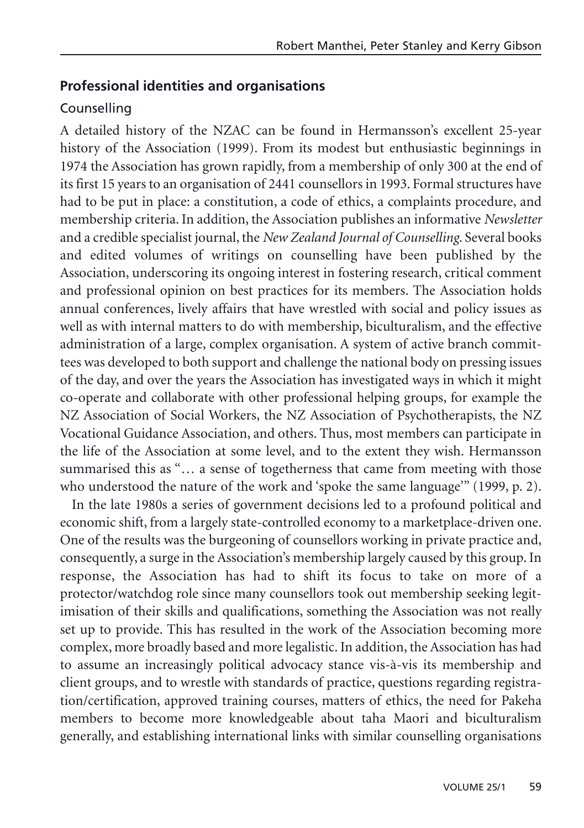#### **Professional identities and organisations**

#### **Counselling**

A detailed history of the NZAC can be found in Hermansson's excellent 25-year history of the Association (1999). From its modest but enthusiastic beginnings in 1974 the Association has grown rapidly, from a membership of only 300 at the end of its first 15 years to an organisation of 2441 counsellors in 1993. Formal structures have had to be put in place: a constitution, a code of ethics, a complaints procedure, and membership criteria. In addition, the Association publishes an informative *Newsletter* and a credible specialist journal, the *New Zealand Journal of Counselling*. Several books and edited volumes of writings on counselling have been published by the Association, underscoring its ongoing interest in fostering research, critical comment and professional opinion on best practices for its members. The Association holds annual conferences, lively affairs that have wrestled with social and policy issues as well as with internal matters to do with membership, biculturalism, and the effective administration of a large, complex organisation. A system of active branch committees was developed to both support and challenge the national body on pressing issues of the day, and over the years the Association has investigated ways in which it might co-operate and collaborate with other professional helping groups, for example the NZ Association of Social Workers, the NZ Association of Psychotherapists, the NZ Vocational Guidance Association, and others. Thus, most members can participate in the life of the Association at some level, and to the extent they wish. Hermansson summarised this as "... a sense of togetherness that came from meeting with those who understood the nature of the work and 'spoke the same language'" (1999, p. 2).

In the late 1980s a series of government decisions led to a profound political and economic shift, from a largely state-controlled economy to a marketplace-driven one. One of the results was the burgeoning of counsellors working in private practice and, consequently, a surge in the Association's membership largely caused by this group. In response, the Association has had to shift its focus to take on more of a protector/watchdog role since many counsellors took out membership seeking legitimisation of their skills and qualifications, something the Association was not really set up to provide. This has resulted in the work of the Association becoming more complex, more broadly based and more legalistic. In addition, the Association has had to assume an increasingly political advocacy stance vis-à-vis its membership and client groups, and to wrestle with standards of practice, questions regarding registration/certification, approved training courses, matters of ethics, the need for Pakeha members to become more knowledgeable about taha Maori and biculturalism generally, and establishing international links with similar counselling organisations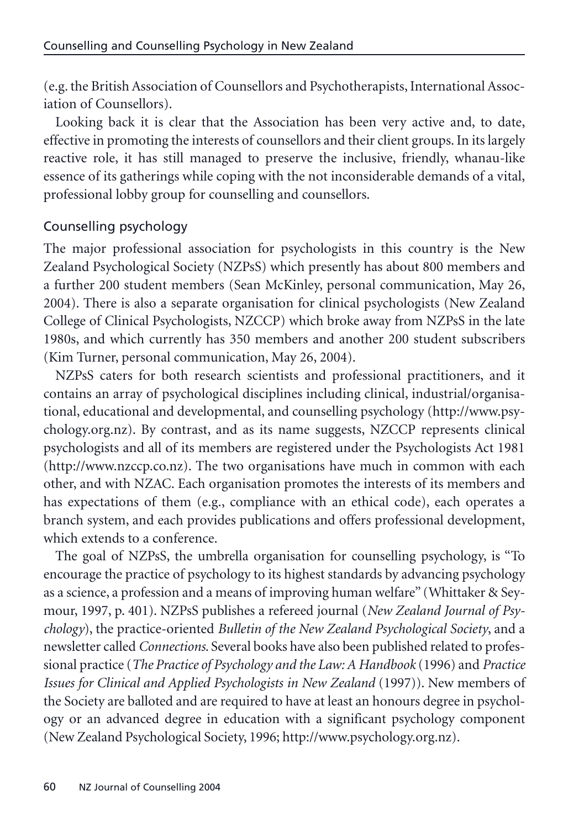(e.g. the British Association of Counsellors and Psychotherapists, International Association of Counsellors).

Looking back it is clear that the Association has been very active and, to date, effective in promoting the interests of counsellors and their client groups. In its largely reactive role, it has still managed to preserve the inclusive, friendly, whanau-like essence of its gatherings while coping with the not inconsiderable demands of a vital, professional lobby group for counselling and counsellors.

## Counselling psychology

The major professional association for psychologists in this country is the New Zealand Psychological Society (NZPsS) which presently has about 800 members and a further 200 student members (Sean McKinley, personal communication, May 26, 2004). There is also a separate organisation for clinical psychologists (New Zealand College of Clinical Psychologists, NZCCP) which broke away from NZPsS in the late 1980s, and which currently has 350 members and another 200 student subscribers (Kim Turner, personal communication, May 26, 2004).

NZPsS caters for both research scientists and professional practitioners, and it contains an array of psychological disciplines including clinical, industrial/organisational, educational and developmental, and counselling psychology (http://www.psychology.org.nz). By contrast, and as its name suggests, NZCCP represents clinical psychologists and all of its members are registered under the Psychologists Act 1981 (http://www.nzccp.co.nz). The two organisations have much in common with each other, and with NZAC. Each organisation promotes the interests of its members and has expectations of them (e.g., compliance with an ethical code), each operates a branch system, and each provides publications and offers professional development, which extends to a conference.

The goal of NZPsS, the umbrella organisation for counselling psychology, is "To encourage the practice of psychology to its highest standards by advancing psychology as a science, a profession and a means of improving human welfare" (Whittaker & Seymour, 1997, p. 401). NZPsS publishes a refereed journal (*New Zealand Journal of Psychology*), the practice-oriented *Bulletin of the New Zealand Psychological Society*, and a newsletter called *Connections*. Several books have also been published related to professional practice (*The Practice of Psychology and the Law: A Handbook* (1996) and *Practice Issues for Clinical and Applied Psychologists in New Zealand* (1997)). New members of the Society are balloted and are required to have at least an honours degree in psychology or an advanced degree in education with a significant psychology component (New Zealand Psychological Society, 1996; http://www.psychology.org.nz).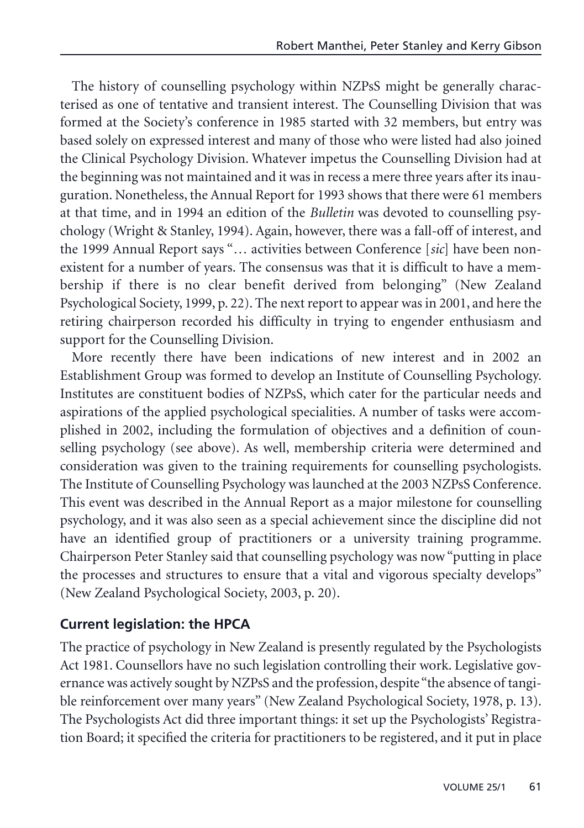The history of counselling psychology within NZPsS might be generally characterised as one of tentative and transient interest. The Counselling Division that was formed at the Society's conference in 1985 started with 32 members, but entry was based solely on expressed interest and many of those who were listed had also joined the Clinical Psychology Division. Whatever impetus the Counselling Division had at the beginning was not maintained and it was in recess a mere three years after its inauguration. Nonetheless, the Annual Report for 1993 shows that there were 61 members at that time, and in 1994 an edition of the *Bulletin* was devoted to counselling psychology (Wright & Stanley, 1994). Again, however, there was a fall-off of interest, and the 1999 Annual Report says "… activities between Conference [*sic*] have been nonexistent for a number of years. The consensus was that it is difficult to have a membership if there is no clear benefit derived from belonging" (New Zealand Psychological Society, 1999, p. 22). The next report to appear was in 2001, and here the retiring chairperson recorded his difficulty in trying to engender enthusiasm and support for the Counselling Division.

More recently there have been indications of new interest and in 2002 an Establishment Group was formed to develop an Institute of Counselling Psychology. Institutes are constituent bodies of NZPsS, which cater for the particular needs and aspirations of the applied psychological specialities. A number of tasks were accomplished in 2002, including the formulation of objectives and a definition of counselling psychology (see above). As well, membership criteria were determined and consideration was given to the training requirements for counselling psychologists. The Institute of Counselling Psychology was launched at the 2003 NZPsS Conference. This event was described in the Annual Report as a major milestone for counselling psychology, and it was also seen as a special achievement since the discipline did not have an identified group of practitioners or a university training programme. Chairperson Peter Stanley said that counselling psychology was now "putting in place the processes and structures to ensure that a vital and vigorous specialty develops" (New Zealand Psychological Society, 2003, p. 20).

## **Current legislation: the HPCA**

The practice of psychology in New Zealand is presently regulated by the Psychologists Act 1981. Counsellors have no such legislation controlling their work. Legislative governance was actively sought by NZPsS and the profession, despite "the absence of tangible reinforcement over many years" (New Zealand Psychological Society, 1978, p. 13). The Psychologists Act did three important things: it set up the Psychologists' Registration Board; it specified the criteria for practitioners to be registered, and it put in place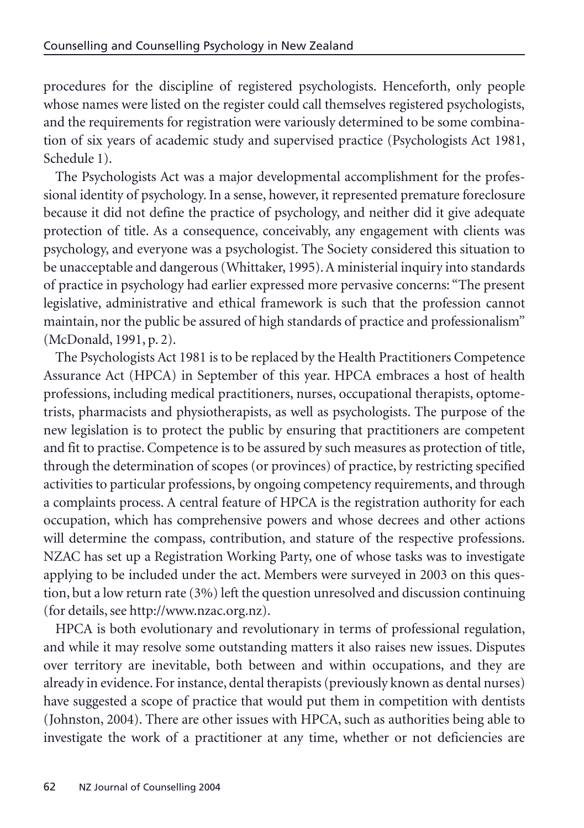procedures for the discipline of registered psychologists. Henceforth, only people whose names were listed on the register could call themselves registered psychologists, and the requirements for registration were variously determined to be some combination of six years of academic study and supervised practice (Psychologists Act 1981, Schedule 1).

The Psychologists Act was a major developmental accomplishment for the professional identity of psychology. In a sense, however, it represented premature foreclosure because it did not define the practice of psychology, and neither did it give adequate protection of title. As a consequence, conceivably, any engagement with clients was psychology, and everyone was a psychologist. The Society considered this situation to be unacceptable and dangerous (Whittaker, 1995). A ministerial inquiry into standards of practice in psychology had earlier expressed more pervasive concerns: "The present legislative, administrative and ethical framework is such that the profession cannot maintain, nor the public be assured of high standards of practice and professionalism" (McDonald, 1991, p. 2).

The Psychologists Act 1981 is to be replaced by the Health Practitioners Competence Assurance Act (HPCA) in September of this year. HPCA embraces a host of health professions, including medical practitioners, nurses, occupational therapists, optometrists, pharmacists and physiotherapists, as well as psychologists. The purpose of the new legislation is to protect the public by ensuring that practitioners are competent and fit to practise. Competence is to be assured by such measures as protection of title, through the determination of scopes (or provinces) of practice, by restricting specified activities to particular professions, by ongoing competency requirements, and through a complaints process. A central feature of HPCA is the registration authority for each occupation, which has comprehensive powers and whose decrees and other actions will determine the compass, contribution, and stature of the respective professions. NZAC has set up a Registration Working Party, one of whose tasks was to investigate applying to be included under the act. Members were surveyed in 2003 on this question, but a low return rate (3%) left the question unresolved and discussion continuing (for details, see http://www.nzac.org.nz).

HPCA is both evolutionary and revolutionary in terms of professional regulation, and while it may resolve some outstanding matters it also raises new issues. Disputes over territory are inevitable, both between and within occupations, and they are already in evidence. For instance, dental therapists (previously known as dental nurses) have suggested a scope of practice that would put them in competition with dentists (Johnston, 2004). There are other issues with HPCA, such as authorities being able to investigate the work of a practitioner at any time, whether or not deficiencies are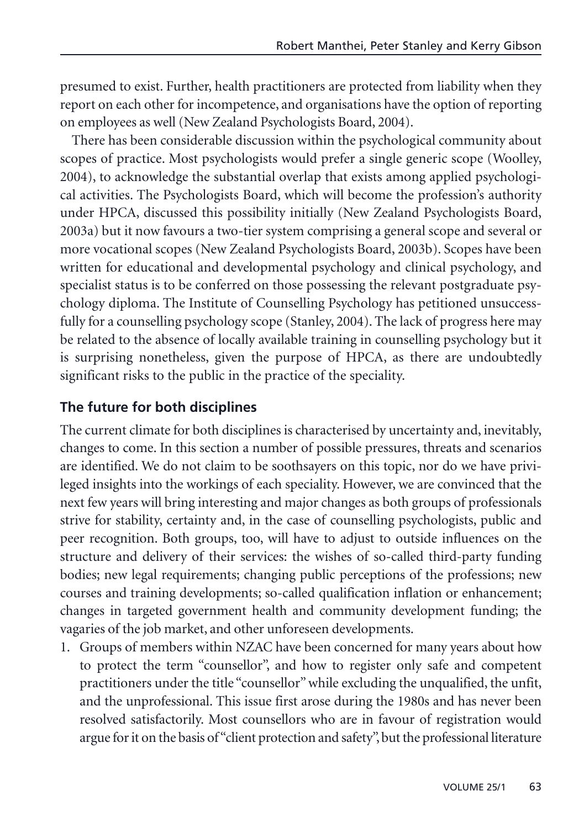presumed to exist. Further, health practitioners are protected from liability when they report on each other for incompetence, and organisations have the option of reporting on employees as well (New Zealand Psychologists Board, 2004).

There has been considerable discussion within the psychological community about scopes of practice. Most psychologists would prefer a single generic scope (Woolley, 2004), to acknowledge the substantial overlap that exists among applied psychological activities. The Psychologists Board, which will become the profession's authority under HPCA, discussed this possibility initially (New Zealand Psychologists Board, 2003a) but it now favours a two-tier system comprising a general scope and several or more vocational scopes (New Zealand Psychologists Board, 2003b). Scopes have been written for educational and developmental psychology and clinical psychology, and specialist status is to be conferred on those possessing the relevant postgraduate psychology diploma. The Institute of Counselling Psychology has petitioned unsuccessfully for a counselling psychology scope (Stanley, 2004). The lack of progress here may be related to the absence of locally available training in counselling psychology but it is surprising nonetheless, given the purpose of HPCA, as there are undoubtedly significant risks to the public in the practice of the speciality.

## **The future for both disciplines**

The current climate for both disciplines is characterised by uncertainty and, inevitably, changes to come. In this section a number of possible pressures, threats and scenarios are identified. We do not claim to be soothsayers on this topic, nor do we have privileged insights into the workings of each speciality. However, we are convinced that the next few years will bring interesting and major changes as both groups of professionals strive for stability, certainty and, in the case of counselling psychologists, public and peer recognition. Both groups, too, will have to adjust to outside influences on the structure and delivery of their services: the wishes of so-called third-party funding bodies; new legal requirements; changing public perceptions of the professions; new courses and training developments; so-called qualification inflation or enhancement; changes in targeted government health and community development funding; the vagaries of the job market, and other unforeseen developments.

1. Groups of members within NZAC have been concerned for many years about how to protect the term "counsellor", and how to register only safe and competent practitioners under the title "counsellor" while excluding the unqualified, the unfit, and the unprofessional. This issue first arose during the 1980s and has never been resolved satisfactorily. Most counsellors who are in favour of registration would argue for it on the basis of "client protection and safety", but the professional literature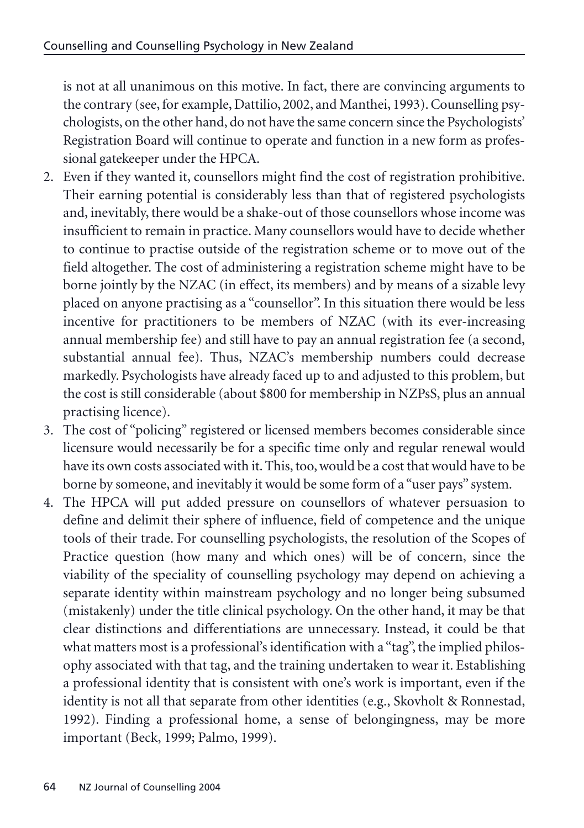is not at all unanimous on this motive. In fact, there are convincing arguments to the contrary (see, for example, Dattilio, 2002, and Manthei, 1993). Counselling psychologists, on the other hand, do not have the same concern since the Psychologists' Registration Board will continue to operate and function in a new form as professional gatekeeper under the HPCA.

- 2. Even if they wanted it, counsellors might find the cost of registration prohibitive. Their earning potential is considerably less than that of registered psychologists and, inevitably, there would be a shake-out of those counsellors whose income was insufficient to remain in practice. Many counsellors would have to decide whether to continue to practise outside of the registration scheme or to move out of the field altogether. The cost of administering a registration scheme might have to be borne jointly by the NZAC (in effect, its members) and by means of a sizable levy placed on anyone practising as a "counsellor". In this situation there would be less incentive for practitioners to be members of NZAC (with its ever-increasing annual membership fee) and still have to pay an annual registration fee (a second, substantial annual fee). Thus, NZAC's membership numbers could decrease markedly. Psychologists have already faced up to and adjusted to this problem, but the cost is still considerable (about \$800 for membership in NZPsS, plus an annual practising licence).
- 3. The cost of "policing" registered or licensed members becomes considerable since licensure would necessarily be for a specific time only and regular renewal would have its own costs associated with it. This, too, would be a cost that would have to be borne by someone, and inevitably it would be some form of a "user pays" system.
- 4. The HPCA will put added pressure on counsellors of whatever persuasion to define and delimit their sphere of influence, field of competence and the unique tools of their trade. For counselling psychologists, the resolution of the Scopes of Practice question (how many and which ones) will be of concern, since the viability of the speciality of counselling psychology may depend on achieving a separate identity within mainstream psychology and no longer being subsumed (mistakenly) under the title clinical psychology. On the other hand, it may be that clear distinctions and differentiations are unnecessary. Instead, it could be that what matters most is a professional's identification with a "tag", the implied philosophy associated with that tag, and the training undertaken to wear it. Establishing a professional identity that is consistent with one's work is important, even if the identity is not all that separate from other identities (e.g., Skovholt & Ronnestad, 1992). Finding a professional home, a sense of belongingness, may be more important (Beck, 1999; Palmo, 1999).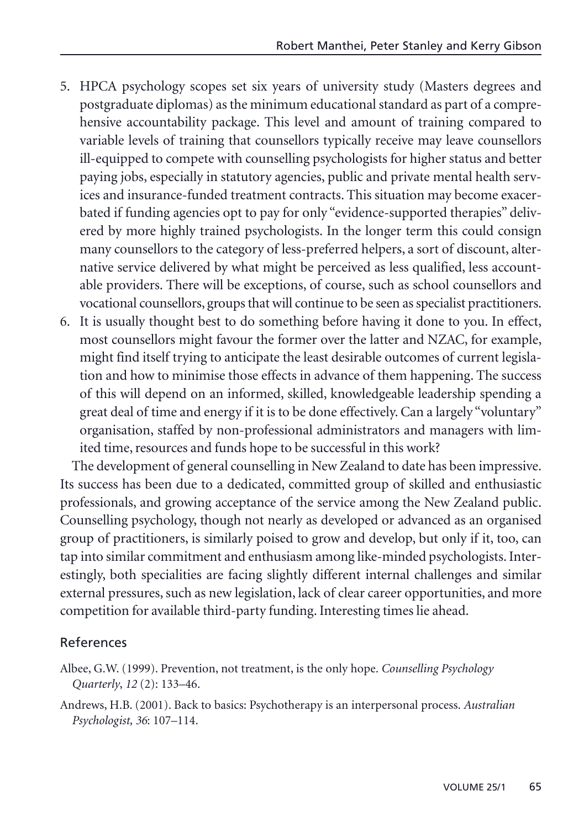- 5. HPCA psychology scopes set six years of university study (Masters degrees and postgraduate diplomas) as the minimum educational standard as part of a comprehensive accountability package. This level and amount of training compared to variable levels of training that counsellors typically receive may leave counsellors ill-equipped to compete with counselling psychologists for higher status and better paying jobs, especially in statutory agencies, public and private mental health services and insurance-funded treatment contracts. This situation may become exacerbated if funding agencies opt to pay for only "evidence-supported therapies" delivered by more highly trained psychologists. In the longer term this could consign many counsellors to the category of less-preferred helpers, a sort of discount, alternative service delivered by what might be perceived as less qualified, less accountable providers. There will be exceptions, of course, such as school counsellors and vocational counsellors, groups that will continue to be seen as specialist practitioners.
- 6. It is usually thought best to do something before having it done to you. In effect, most counsellors might favour the former over the latter and NZAC, for example, might find itself trying to anticipate the least desirable outcomes of current legislation and how to minimise those effects in advance of them happening. The success of this will depend on an informed, skilled, knowledgeable leadership spending a great deal of time and energy if it is to be done effectively. Can a largely "voluntary" organisation, staffed by non-professional administrators and managers with limited time, resources and funds hope to be successful in this work?

The development of general counselling in New Zealand to date has been impressive. Its success has been due to a dedicated, committed group of skilled and enthusiastic professionals, and growing acceptance of the service among the New Zealand public. Counselling psychology, though not nearly as developed or advanced as an organised group of practitioners, is similarly poised to grow and develop, but only if it, too, can tap into similar commitment and enthusiasm among like-minded psychologists. Interestingly, both specialities are facing slightly different internal challenges and similar external pressures, such as new legislation, lack of clear career opportunities, and more competition for available third-party funding. Interesting times lie ahead.

#### References

- Albee, G.W. (1999). Prevention, not treatment, is the only hope. *Counselling Psychology Quarterly*, *12* (2): 133–46.
- Andrews, H.B. (2001). Back to basics: Psychotherapy is an interpersonal process. *Australian Psychologist, 36*: 107–114.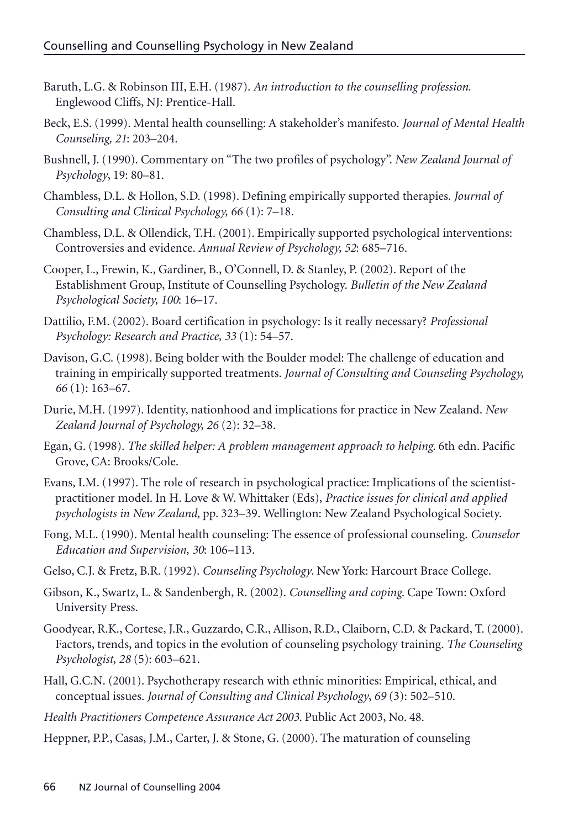- Baruth, L.G. & Robinson III, E.H. (1987). *An introduction to the counselling profession.* Englewood Cliffs, NJ: Prentice-Hall.
- Beck, E.S. (1999). Mental health counselling: A stakeholder's manifesto. *Journal of Mental Health Counseling, 21*: 203–204.
- Bushnell, J. (1990). Commentary on "The two profiles of psychology". *New Zealand Journal of Psychology*, 19: 80–81.
- Chambless, D.L. & Hollon, S.D. (1998). Defining empirically supported therapies. *Journal of Consulting and Clinical Psychology, 66* (1): 7–18.
- Chambless, D.L. & Ollendick, T.H. (2001). Empirically supported psychological interventions: Controversies and evidence. *Annual Review of Psychology, 52*: 685–716.
- Cooper, L., Frewin, K., Gardiner, B., O'Connell, D. & Stanley, P. (2002). Report of the Establishment Group, Institute of Counselling Psychology. *Bulletin of the New Zealand Psychological Society, 100*: 16–17.
- Dattilio, F.M. (2002). Board certification in psychology: Is it really necessary? *Professional Psychology: Research and Practice, 33* (1): 54–57.
- Davison, G.C. (1998). Being bolder with the Boulder model: The challenge of education and training in empirically supported treatments. *Journal of Consulting and Counseling Psychology, 66* (1): 163–67.
- Durie, M.H. (1997). Identity, nationhood and implications for practice in New Zealand. *New Zealand Journal of Psychology, 26* (2): 32–38.
- Egan, G. (1998). *The skilled helper: A problem management approach to helping*. 6th edn. Pacific Grove, CA: Brooks/Cole.
- Evans, I.M. (1997). The role of research in psychological practice: Implications of the scientistpractitioner model. In H. Love & W. Whittaker (Eds), *Practice issues for clinical and applied psychologists in New Zealand*, pp. 323–39. Wellington: New Zealand Psychological Society.
- Fong, M.L. (1990). Mental health counseling: The essence of professional counseling. *Counselor Education and Supervision, 30*: 106–113.
- Gelso, C.J. & Fretz, B.R. (1992). *Counseling Psychology*. New York: Harcourt Brace College.
- Gibson, K., Swartz, L. & Sandenbergh, R. (2002). *Counselling and coping*. Cape Town: Oxford University Press.
- Goodyear, R.K., Cortese, J.R., Guzzardo, C.R., Allison, R.D., Claiborn, C.D. & Packard, T. (2000). Factors, trends, and topics in the evolution of counseling psychology training. *The Counseling Psychologist, 28* (5): 603–621.
- Hall, G.C.N. (2001). Psychotherapy research with ethnic minorities: Empirical, ethical, and conceptual issues. *Journal of Consulting and Clinical Psychology*, *69* (3): 502–510.
- *Health Practitioners Competence Assurance Act 2003*. Public Act 2003, No. 48.

Heppner, P.P., Casas, J.M., Carter, J. & Stone, G. (2000). The maturation of counseling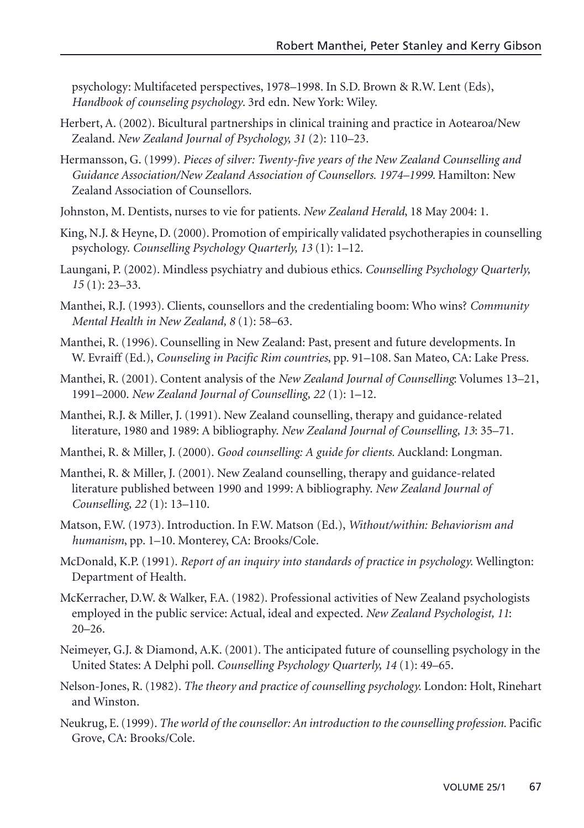psychology: Multifaceted perspectives, 1978–1998. In S.D. Brown & R.W. Lent (Eds), *Handbook of counseling psychology*. 3rd edn. New York: Wiley.

- Herbert, A. (2002). Bicultural partnerships in clinical training and practice in Aotearoa/New Zealand. *New Zealand Journal of Psychology, 31* (2): 110–23.
- Hermansson, G. (1999). *Pieces of silver: Twenty-five years of the New Zealand Counselling and Guidance Association/New Zealand Association of Counsellors. 1974–1999*. Hamilton: New Zealand Association of Counsellors.
- Johnston, M. Dentists, nurses to vie for patients. *New Zealand Herald*, 18 May 2004: 1.
- King, N.J. & Heyne, D. (2000). Promotion of empirically validated psychotherapies in counselling psychology. *Counselling Psychology Quarterly, 13* (1): 1–12.
- Laungani, P. (2002). Mindless psychiatry and dubious ethics. *Counselling Psychology Quarterly, 15* (1): 23–33.
- Manthei, R.J. (1993). Clients, counsellors and the credentialing boom: Who wins? *Community Mental Health in New Zealand, 8* (1): 58–63.
- Manthei, R. (1996). Counselling in New Zealand: Past, present and future developments. In W. Evraiff (Ed.), *Counseling in Pacific Rim countries*, pp. 91–108. San Mateo, CA: Lake Press.
- Manthei, R. (2001). Content analysis of the *New Zealand Journal of Counselling*: Volumes 13–21, 1991–2000. *New Zealand Journal of Counselling, 22* (1): 1–12.
- Manthei, R.J. & Miller, J. (1991). New Zealand counselling, therapy and guidance-related literature, 1980 and 1989: A bibliography. *New Zealand Journal of Counselling, 13*: 35–71.
- Manthei, R. & Miller, J. (2000). *Good counselling: A guide for clients.* Auckland: Longman.
- Manthei, R. & Miller, J. (2001). New Zealand counselling, therapy and guidance-related literature published between 1990 and 1999: A bibliography. *New Zealand Journal of Counselling, 22* (1): 13–110.
- Matson, F.W. (1973). Introduction. In F.W. Matson (Ed.), *Without/within: Behaviorism and humanism*, pp. 1–10. Monterey, CA: Brooks/Cole.
- McDonald, K.P. (1991). *Report of an inquiry into standards of practice in psychology.* Wellington: Department of Health.
- McKerracher, D.W. & Walker, F.A. (1982). Professional activities of New Zealand psychologists employed in the public service: Actual, ideal and expected. *New Zealand Psychologist, 11*: 20–26.
- Neimeyer, G.J. & Diamond, A.K. (2001). The anticipated future of counselling psychology in the United States: A Delphi poll. *Counselling Psychology Quarterly, 14* (1): 49–65.
- Nelson-Jones, R. (1982). *The theory and practice of counselling psychology.* London: Holt, Rinehart and Winston.
- Neukrug, E. (1999). *The world of the counsellor: An introduction to the counselling profession.* Pacific Grove, CA: Brooks/Cole.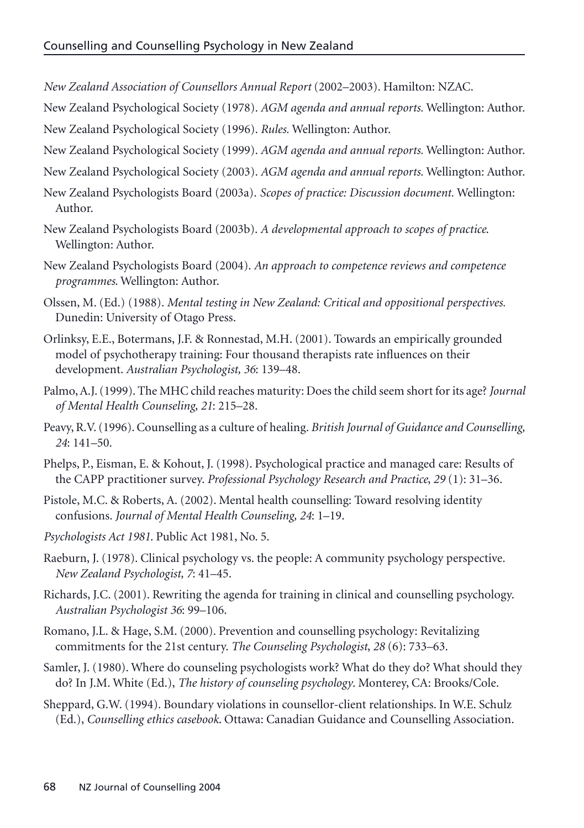- *New Zealand Association of Counsellors Annual Report* (2002–2003). Hamilton: NZAC.
- New Zealand Psychological Society (1978). *AGM agenda and annual reports.* Wellington: Author. New Zealand Psychological Society (1996). *Rules.* Wellington: Author.
- New Zealand Psychological Society (1999). *AGM agenda and annual reports.* Wellington: Author.
- New Zealand Psychological Society (2003). *AGM agenda and annual reports.* Wellington: Author.
- New Zealand Psychologists Board (2003a). *Scopes of practice: Discussion document.* Wellington: Author.
- New Zealand Psychologists Board (2003b). *A developmental approach to scopes of practice*. Wellington: Author.
- New Zealand Psychologists Board (2004). *An approach to competence reviews and competence programmes*. Wellington: Author.
- Olssen, M. (Ed.) (1988). *Mental testing in New Zealand: Critical and oppositional perspectives.* Dunedin: University of Otago Press.
- Orlinksy, E.E., Botermans, J.F. & Ronnestad, M.H. (2001). Towards an empirically grounded model of psychotherapy training: Four thousand therapists rate influences on their development. *Australian Psychologist, 36*: 139–48.
- Palmo, A.J. (1999). The MHC child reaches maturity: Does the child seem short for its age? *Journal of Mental Health Counseling, 21*: 215–28.
- Peavy,R.V. (1996). Counselling as a culture of healing. *British Journal of Guidance and Counselling, 24*: 141–50.
- Phelps, P., Eisman, E. & Kohout, J. (1998). Psychological practice and managed care: Results of the CAPP practitioner survey. *Professional Psychology Research and Practice*, *29* (1): 31–36.
- Pistole, M.C. & Roberts, A. (2002). Mental health counselling: Toward resolving identity confusions. *Journal of Mental Health Counseling, 24*: 1–19.
- *Psychologists Act 1981*. Public Act 1981, No. 5.
- Raeburn, J. (1978). Clinical psychology vs. the people: A community psychology perspective. *New Zealand Psychologist, 7*: 41–45.
- Richards, J.C. (2001). Rewriting the agenda for training in clinical and counselling psychology. *Australian Psychologist 36*: 99–106.
- Romano, J.L. & Hage, S.M. (2000). Prevention and counselling psychology: Revitalizing commitments for the 21st century. *The Counseling Psychologist*, *28* (6): 733–63.
- Samler, J. (1980). Where do counseling psychologists work? What do they do? What should they do? In J.M. White (Ed.), *The history of counseling psychology*. Monterey, CA: Brooks/Cole.
- Sheppard, G.W. (1994). Boundary violations in counsellor-client relationships. In W.E. Schulz (Ed.), *Counselling ethics casebook*. Ottawa: Canadian Guidance and Counselling Association.